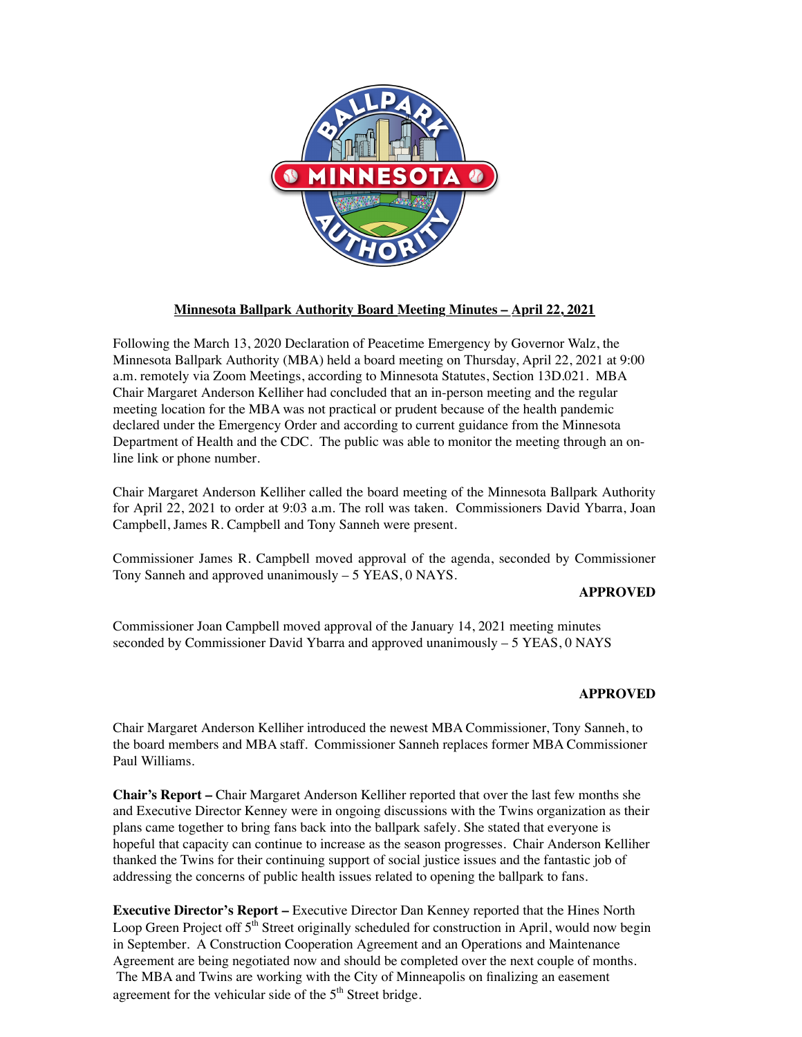

# **Minnesota Ballpark Authority Board Meeting Minutes – April 22, 2021**

Following the March 13, 2020 Declaration of Peacetime Emergency by Governor Walz, the Minnesota Ballpark Authority (MBA) held a board meeting on Thursday, April 22, 2021 at 9:00 a.m. remotely via Zoom Meetings, according to Minnesota Statutes, Section 13D.021. MBA Chair Margaret Anderson Kelliher had concluded that an in-person meeting and the regular meeting location for the MBA was not practical or prudent because of the health pandemic declared under the Emergency Order and according to current guidance from the Minnesota Department of Health and the CDC. The public was able to monitor the meeting through an online link or phone number.

Chair Margaret Anderson Kelliher called the board meeting of the Minnesota Ballpark Authority for April 22, 2021 to order at 9:03 a.m. The roll was taken. Commissioners David Ybarra, Joan Campbell, James R. Campbell and Tony Sanneh were present.

Commissioner James R. Campbell moved approval of the agenda, seconded by Commissioner Tony Sanneh and approved unanimously – 5 YEAS, 0 NAYS.

### **APPROVED**

Commissioner Joan Campbell moved approval of the January 14, 2021 meeting minutes seconded by Commissioner David Ybarra and approved unanimously – 5 YEAS, 0 NAYS

### **APPROVED**

Chair Margaret Anderson Kelliher introduced the newest MBA Commissioner, Tony Sanneh, to the board members and MBA staff. Commissioner Sanneh replaces former MBA Commissioner Paul Williams.

**Chair's Report –** Chair Margaret Anderson Kelliher reported that over the last few months she and Executive Director Kenney were in ongoing discussions with the Twins organization as their plans came together to bring fans back into the ballpark safely. She stated that everyone is hopeful that capacity can continue to increase as the season progresses. Chair Anderson Kelliher thanked the Twins for their continuing support of social justice issues and the fantastic job of addressing the concerns of public health issues related to opening the ballpark to fans.

**Executive Director's Report –** Executive Director Dan Kenney reported that the Hines North Loop Green Project off  $5<sup>th</sup>$  Street originally scheduled for construction in April, would now begin in September. A Construction Cooperation Agreement and an Operations and Maintenance Agreement are being negotiated now and should be completed over the next couple of months. The MBA and Twins are working with the City of Minneapolis on finalizing an easement agreement for the vehicular side of the  $5<sup>th</sup>$  Street bridge.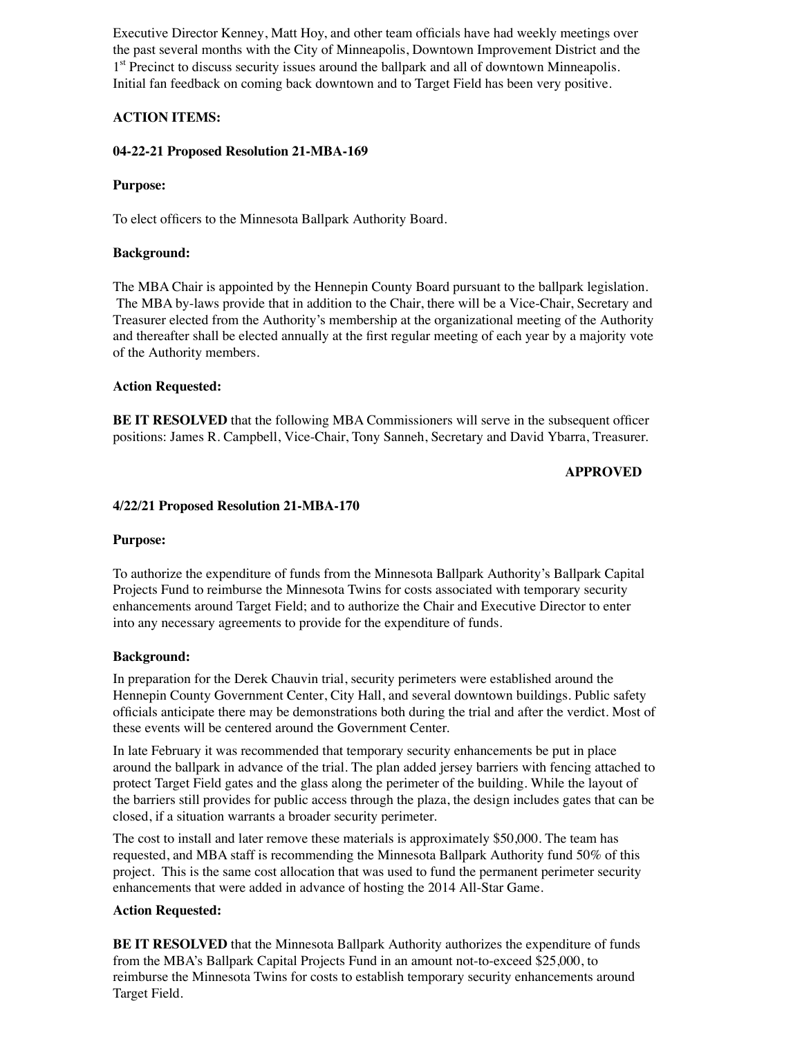Executive Director Kenney, Matt Hoy, and other team officials have had weekly meetings over the past several months with the City of Minneapolis, Downtown Improvement District and the 1<sup>st</sup> Precinct to discuss security issues around the ballpark and all of downtown Minneapolis. Initial fan feedback on coming back downtown and to Target Field has been very positive.

## **ACTION ITEMS:**

# **04-22-21 Proposed Resolution 21-MBA-169**

## **Purpose:**

To elect officers to the Minnesota Ballpark Authority Board.

# **Background:**

The MBA Chair is appointed by the Hennepin County Board pursuant to the ballpark legislation. The MBA by-laws provide that in addition to the Chair, there will be a Vice-Chair, Secretary and Treasurer elected from the Authority's membership at the organizational meeting of the Authority and thereafter shall be elected annually at the first regular meeting of each year by a majority vote of the Authority members.

## **Action Requested:**

**BE IT RESOLVED** that the following MBA Commissioners will serve in the subsequent officer positions: James R. Campbell, Vice-Chair, Tony Sanneh, Secretary and David Ybarra, Treasurer.

## **APPROVED**

### **4/22/21 Proposed Resolution 21-MBA-170**

## **Purpose:**

To authorize the expenditure of funds from the Minnesota Ballpark Authority's Ballpark Capital Projects Fund to reimburse the Minnesota Twins for costs associated with temporary security enhancements around Target Field; and to authorize the Chair and Executive Director to enter into any necessary agreements to provide for the expenditure of funds.

## **Background:**

In preparation for the Derek Chauvin trial, security perimeters were established around the Hennepin County Government Center, City Hall, and several downtown buildings. Public safety officials anticipate there may be demonstrations both during the trial and after the verdict. Most of these events will be centered around the Government Center.

In late February it was recommended that temporary security enhancements be put in place around the ballpark in advance of the trial. The plan added jersey barriers with fencing attached to protect Target Field gates and the glass along the perimeter of the building. While the layout of the barriers still provides for public access through the plaza, the design includes gates that can be closed, if a situation warrants a broader security perimeter.

The cost to install and later remove these materials is approximately \$50,000. The team has requested, and MBA staff is recommending the Minnesota Ballpark Authority fund 50% of this project. This is the same cost allocation that was used to fund the permanent perimeter security enhancements that were added in advance of hosting the 2014 All-Star Game.

## **Action Requested:**

**BE IT RESOLVED** that the Minnesota Ballpark Authority authorizes the expenditure of funds from the MBA's Ballpark Capital Projects Fund in an amount not-to-exceed \$25,000, to reimburse the Minnesota Twins for costs to establish temporary security enhancements around Target Field.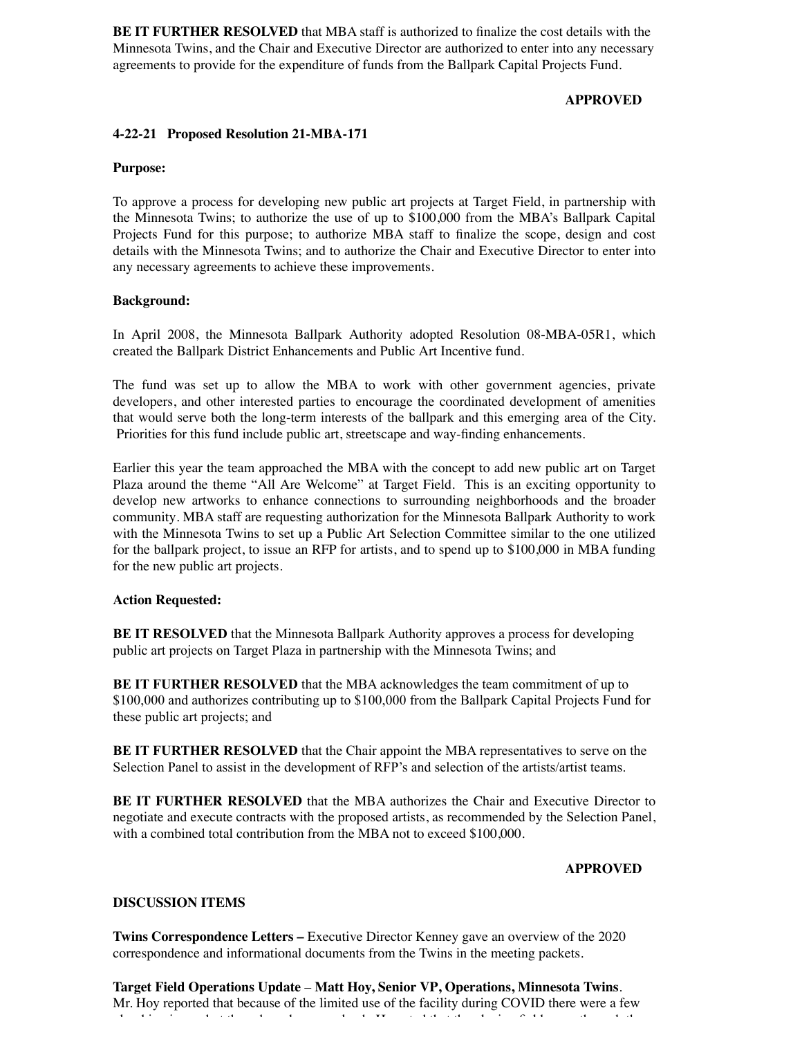**BE IT FURTHER RESOLVED** that MBA staff is authorized to finalize the cost details with the Minnesota Twins, and the Chair and Executive Director are authorized to enter into any necessary agreements to provide for the expenditure of funds from the Ballpark Capital Projects Fund.

### **APPROVED**

### **4-22-21 Proposed Resolution 21-MBA-171**

#### **Purpose:**

To approve a process for developing new public art projects at Target Field, in partnership with the Minnesota Twins; to authorize the use of up to \$100,000 from the MBA's Ballpark Capital Projects Fund for this purpose; to authorize MBA staff to finalize the scope, design and cost details with the Minnesota Twins; and to authorize the Chair and Executive Director to enter into any necessary agreements to achieve these improvements.

### **Background:**

In April 2008, the Minnesota Ballpark Authority adopted Resolution 08-MBA-05R1, which created the Ballpark District Enhancements and Public Art Incentive fund.

The fund was set up to allow the MBA to work with other government agencies, private developers, and other interested parties to encourage the coordinated development of amenities that would serve both the long-term interests of the ballpark and this emerging area of the City. Priorities for this fund include public art, streetscape and way-finding enhancements.

Earlier this year the team approached the MBA with the concept to add new public art on Target Plaza around the theme "All Are Welcome" at Target Field. This is an exciting opportunity to develop new artworks to enhance connections to surrounding neighborhoods and the broader community. MBA staff are requesting authorization for the Minnesota Ballpark Authority to work with the Minnesota Twins to set up a Public Art Selection Committee similar to the one utilized for the ballpark project, to issue an RFP for artists, and to spend up to \$100,000 in MBA funding for the new public art projects.

### **Action Requested:**

**BE IT RESOLVED** that the Minnesota Ballpark Authority approves a process for developing public art projects on Target Plaza in partnership with the Minnesota Twins; and

**BE IT FURTHER RESOLVED** that the MBA acknowledges the team commitment of up to \$100,000 and authorizes contributing up to \$100,000 from the Ballpark Capital Projects Fund for these public art projects; and

**BE IT FURTHER RESOLVED** that the Chair appoint the MBA representatives to serve on the Selection Panel to assist in the development of RFP's and selection of the artists/artist teams.

**BE IT FURTHER RESOLVED** that the MBA authorizes the Chair and Executive Director to negotiate and execute contracts with the proposed artists, as recommended by the Selection Panel, with a combined total contribution from the MBA not to exceed \$100,000.

### **APPROVED**

### **DISCUSSION ITEMS**

**Twins Correspondence Letters –** Executive Director Kenney gave an overview of the 2020 correspondence and informational documents from the Twins in the meeting packets.

**Target Field Operations Update** – **Matt Hoy, Senior VP, Operations, Minnesota Twins**. Mr. Hoy reported that because of the limited use of the facility during COVID there were a few plumbing issues but those have been resolved. He noted that the playing field came through the